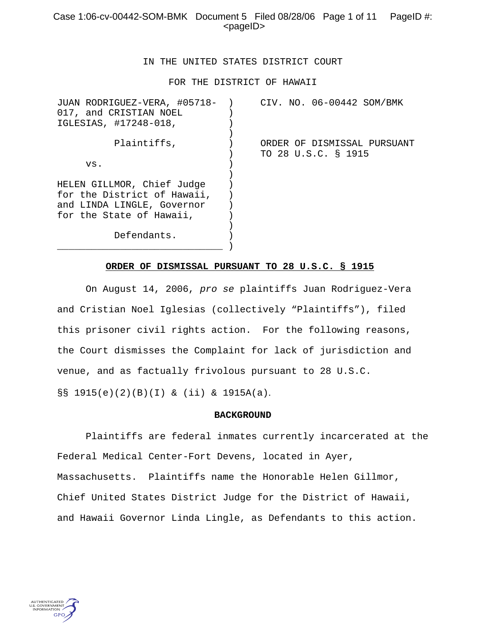# Case 1:06-cv-00442-SOM-BMK Document 5 Filed 08/28/06 Page 1 of 11 PageID #: <pageID>

### IN THE UNITED STATES DISTRICT COURT

FOR THE DISTRICT OF HAWAII

| JUAN RODRIGUEZ-VERA, #05718- ) | CIV. NO. 06-00442 SOM/BMK   |
|--------------------------------|-----------------------------|
| 017, and CRISTIAN NOEL         |                             |
| IGLESIAS, #17248-018,          |                             |
|                                |                             |
| Plaintiffs,                    | ORDER OF DISMISSAL PURSUANT |
|                                | TO 28 U.S.C. § 1915         |
| VS.                            |                             |
|                                |                             |
| HELEN GILLMOR, Chief Judge     |                             |
| for the District of Hawaii,    |                             |
| and LINDA LINGLE, Governor     |                             |
| for the State of Hawaii,       |                             |
|                                |                             |
| Defendants.                    |                             |
|                                |                             |

### **ORDER OF DISMISSAL PURSUANT TO 28 U.S.C. § 1915**

On August 14, 2006, *pro se* plaintiffs Juan Rodriguez-Vera and Cristian Noel Iglesias (collectively "Plaintiffs"), filed this prisoner civil rights action. For the following reasons, the Court dismisses the Complaint for lack of jurisdiction and venue, and as factually frivolous pursuant to 28 U.S.C. §§ 1915(e)(2)(B)(I) & (ii) & 1915A(a).

#### **BACKGROUND**

Plaintiffs are federal inmates currently incarcerated at the Federal Medical Center-Fort Devens, located in Ayer, Massachusetts. Plaintiffs name the Honorable Helen Gillmor, Chief United States District Judge for the District of Hawaii, and Hawaii Governor Linda Lingle, as Defendants to this action.

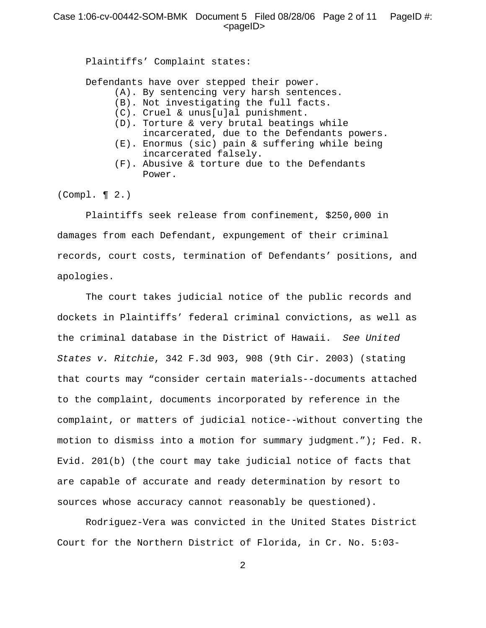Plaintiffs' Complaint states:

Defendants have over stepped their power.

- (A). By sentencing very harsh sentences.
- (B). Not investigating the full facts.
- (C). Cruel & unus[u]al punishment.
- (D). Torture & very brutal beatings while incarcerated, due to the Defendants powers.
- (E). Enormus (sic) pain & suffering while being incarcerated falsely.
- (F). Abusive & torture due to the Defendants Power.

(Compl. ¶ 2.)

Plaintiffs seek release from confinement, \$250,000 in damages from each Defendant, expungement of their criminal records, court costs, termination of Defendants' positions, and apologies.

The court takes judicial notice of the public records and dockets in Plaintiffs' federal criminal convictions, as well as the criminal database in the District of Hawaii. *See United States v. Ritchie*, 342 F.3d 903, 908 (9th Cir. 2003) (stating that courts may "consider certain materials--documents attached to the complaint, documents incorporated by reference in the complaint, or matters of judicial notice--without converting the motion to dismiss into a motion for summary judgment."); Fed. R. Evid. 201(b) (the court may take judicial notice of facts that are capable of accurate and ready determination by resort to sources whose accuracy cannot reasonably be questioned).

Rodriguez-Vera was convicted in the United States District Court for the Northern District of Florida, in Cr. No. 5:03-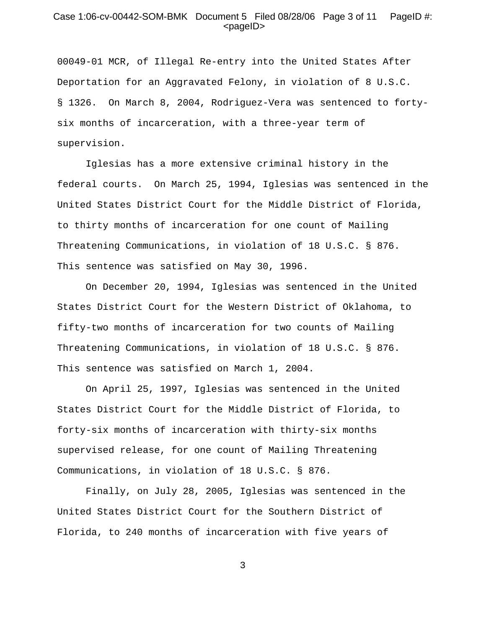### Case 1:06-cv-00442-SOM-BMK Document 5 Filed 08/28/06 Page 3 of 11 PageID #:  $<$ pageID $>$

00049-01 MCR, of Illegal Re-entry into the United States After Deportation for an Aggravated Felony, in violation of 8 U.S.C. § 1326. On March 8, 2004, Rodriguez-Vera was sentenced to fortysix months of incarceration, with a three-year term of supervision.

Iglesias has a more extensive criminal history in the federal courts. On March 25, 1994, Iglesias was sentenced in the United States District Court for the Middle District of Florida, to thirty months of incarceration for one count of Mailing Threatening Communications, in violation of 18 U.S.C. § 876. This sentence was satisfied on May 30, 1996.

On December 20, 1994, Iglesias was sentenced in the United States District Court for the Western District of Oklahoma, to fifty-two months of incarceration for two counts of Mailing Threatening Communications, in violation of 18 U.S.C. § 876. This sentence was satisfied on March 1, 2004.

On April 25, 1997, Iglesias was sentenced in the United States District Court for the Middle District of Florida, to forty-six months of incarceration with thirty-six months supervised release, for one count of Mailing Threatening Communications, in violation of 18 U.S.C. § 876.

Finally, on July 28, 2005, Iglesias was sentenced in the United States District Court for the Southern District of Florida, to 240 months of incarceration with five years of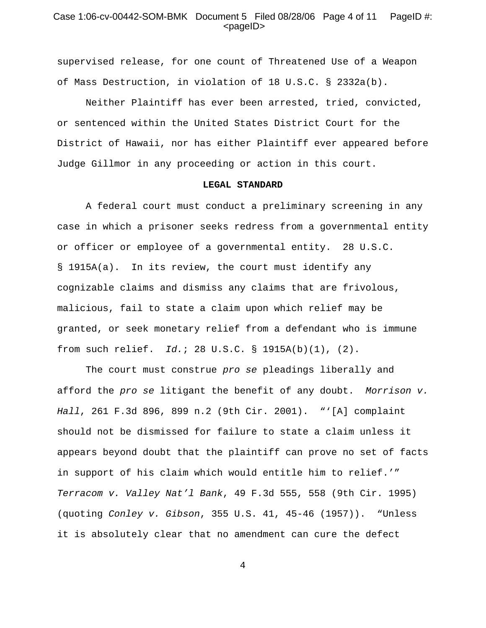### Case  $1.06$ -cv-00442-SOM-BMK Document 5 Filed 08/28/06 Page 4 of  $11$  PageID #:  $<$ pageID $>$

supervised release, for one count of Threatened Use of a Weapon of Mass Destruction, in violation of 18 U.S.C. § 2332a(b).

Neither Plaintiff has ever been arrested, tried, convicted, or sentenced within the United States District Court for the District of Hawaii, nor has either Plaintiff ever appeared before Judge Gillmor in any proceeding or action in this court.

#### **LEGAL STANDARD**

A federal court must conduct a preliminary screening in any case in which a prisoner seeks redress from a governmental entity or officer or employee of a governmental entity. 28 U.S.C. § 1915A(a). In its review, the court must identify any cognizable claims and dismiss any claims that are frivolous, malicious, fail to state a claim upon which relief may be granted, or seek monetary relief from a defendant who is immune from such relief. *Id.*; 28 U.S.C. § 1915A(b)(1), (2).

The court must construe *pro se* pleadings liberally and afford the *pro se* litigant the benefit of any doubt. *Morrison v. Hall*, 261 F.3d 896, 899 n.2 (9th Cir. 2001). "'[A] complaint should not be dismissed for failure to state a claim unless it appears beyond doubt that the plaintiff can prove no set of facts in support of his claim which would entitle him to relief.'" *Terracom v. Valley Nat'l Bank*, 49 F.3d 555, 558 (9th Cir. 1995) (quoting *Conley v. Gibson*, 355 U.S. 41, 45-46 (1957)). "Unless it is absolutely clear that no amendment can cure the defect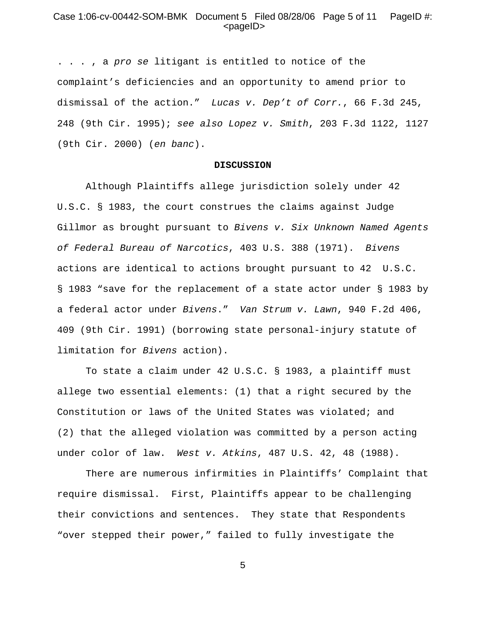## Case  $1.06$ -cv-00442-SOM-BMK Document 5 Filed 08/28/06 Page 5 of  $11$  PageID #:  $<$ pageID $>$

. . . , a *pro se* litigant is entitled to notice of the complaint's deficiencies and an opportunity to amend prior to dismissal of the action." *Lucas v. Dep't of Corr.*, 66 F.3d 245, 248 (9th Cir. 1995); *see also Lopez v. Smith*, 203 F.3d 1122, 1127 (9th Cir. 2000) (*en banc*).

#### **DISCUSSION**

Although Plaintiffs allege jurisdiction solely under 42 U.S.C. § 1983, the court construes the claims against Judge Gillmor as brought pursuant to *Bivens v. Six Unknown Named Agents of Federal Bureau of Narcotics*, 403 U.S. 388 (1971). *Bivens* actions are identical to actions brought pursuant to 42 U.S.C. § 1983 "save for the replacement of a state actor under § 1983 by a federal actor under *Bivens*." *Van Strum v. Lawn*, 940 F.2d 406, 409 (9th Cir. 1991) (borrowing state personal-injury statute of limitation for *Bivens* action).

To state a claim under 42 U.S.C. § 1983, a plaintiff must allege two essential elements: (1) that a right secured by the Constitution or laws of the United States was violated; and (2) that the alleged violation was committed by a person acting under color of law. *West v. Atkins*, 487 U.S. 42, 48 (1988).

There are numerous infirmities in Plaintiffs' Complaint that require dismissal. First, Plaintiffs appear to be challenging their convictions and sentences. They state that Respondents "over stepped their power," failed to fully investigate the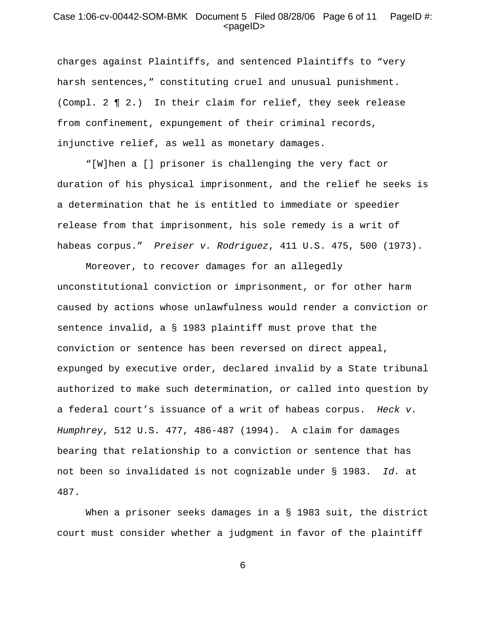## Case 1:06-cv-00442-SOM-BMK Document 5 Filed 08/28/06 Page 6 of 11 PageID #: <pageID>

charges against Plaintiffs, and sentenced Plaintiffs to "very harsh sentences," constituting cruel and unusual punishment. (Compl. 2 ¶ 2.) In their claim for relief, they seek release from confinement, expungement of their criminal records, injunctive relief, as well as monetary damages.

 "[W]hen a [] prisoner is challenging the very fact or duration of his physical imprisonment, and the relief he seeks is a determination that he is entitled to immediate or speedier release from that imprisonment, his sole remedy is a writ of habeas corpus." *Preiser v. Rodriguez*, 411 U.S. 475, 500 (1973).

Moreover, to recover damages for an allegedly unconstitutional conviction or imprisonment, or for other harm caused by actions whose unlawfulness would render a conviction or sentence invalid, a § 1983 plaintiff must prove that the conviction or sentence has been reversed on direct appeal, expunged by executive order, declared invalid by a State tribunal authorized to make such determination, or called into question by a federal court's issuance of a writ of habeas corpus. *Heck v. Humphrey*, 512 U.S. 477, 486-487 (1994). A claim for damages bearing that relationship to a conviction or sentence that has not been so invalidated is not cognizable under § 1983. *Id.* at 487.

When a prisoner seeks damages in a § 1983 suit, the district court must consider whether a judgment in favor of the plaintiff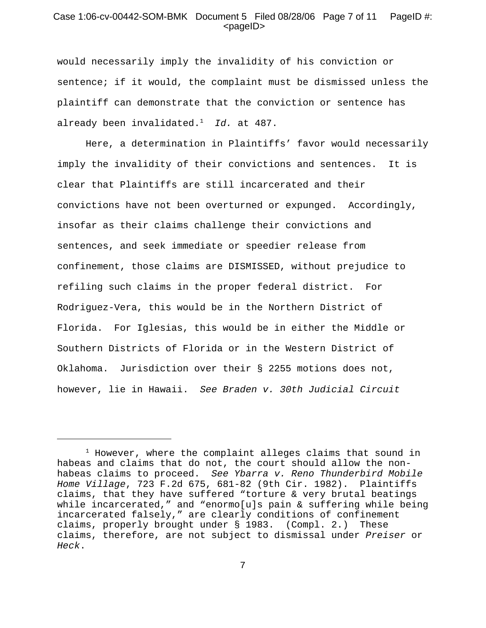## Case 1:06-cv-00442-SOM-BMK Document 5 Filed 08/28/06 Page 7 of 11 PageID #: <pageID>

would necessarily imply the invalidity of his conviction or sentence; if it would, the complaint must be dismissed unless the plaintiff can demonstrate that the conviction or sentence has already been invalidated.1 *Id.* at 487.

Here, a determination in Plaintiffs' favor would necessarily imply the invalidity of their convictions and sentences. It is clear that Plaintiffs are still incarcerated and their convictions have not been overturned or expunged. Accordingly, insofar as their claims challenge their convictions and sentences, and seek immediate or speedier release from confinement, those claims are DISMISSED, without prejudice to refiling such claims in the proper federal district. For Rodriguez-Vera, this would be in the Northern District of Florida. For Iglesias, this would be in either the Middle or Southern Districts of Florida or in the Western District of Oklahoma. Jurisdiction over their § 2255 motions does not, however, lie in Hawaii. *See Braden v. 30th Judicial Circuit*

 $^1$  However, where the complaint alleges claims that sound in habeas and claims that do not, the court should allow the nonhabeas claims to proceed. *See Ybarra v. Reno Thunderbird Mobile Home Village*, 723 F.2d 675, 681-82 (9th Cir. 1982). Plaintiffs claims, that they have suffered "torture & very brutal beatings while incarcerated," and "enormo[u]s pain & suffering while being incarcerated falsely," are clearly conditions of confinement claims, properly brought under § 1983. (Compl. 2.) These claims, therefore, are not subject to dismissal under *Preiser* or *Heck*.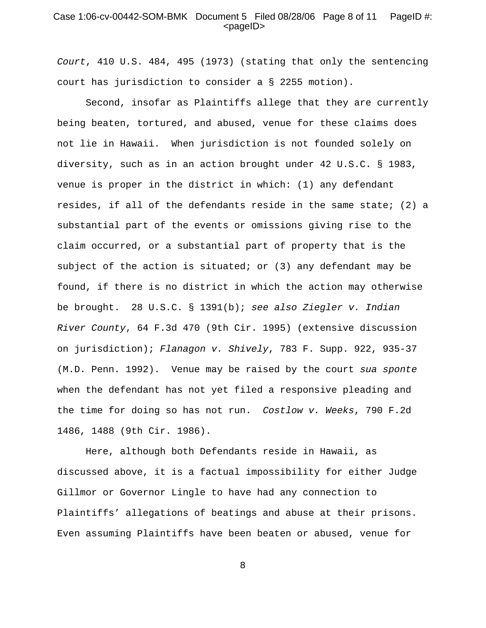### Case 1:06-cv-00442-SOM-BMK Document 5 Filed 08/28/06 Page 8 of 11 PageID #: <pageID>

*Court*, 410 U.S. 484, 495 (1973) (stating that only the sentencing court has jurisdiction to consider a § 2255 motion).

Second, insofar as Plaintiffs allege that they are currently being beaten, tortured, and abused, venue for these claims does not lie in Hawaii. When jurisdiction is not founded solely on diversity, such as in an action brought under 42 U.S.C. § 1983, venue is proper in the district in which: (1) any defendant resides, if all of the defendants reside in the same state; (2) a substantial part of the events or omissions giving rise to the claim occurred, or a substantial part of property that is the subject of the action is situated; or (3) any defendant may be found, if there is no district in which the action may otherwise be brought. 28 U.S.C. § 1391(b); *see also Ziegler v. Indian River County*, 64 F.3d 470 (9th Cir. 1995) (extensive discussion on jurisdiction); *Flanagon v. Shively*, 783 F. Supp. 922, 935-37 (M.D. Penn. 1992). Venue may be raised by the court *sua sponte* when the defendant has not yet filed a responsive pleading and the time for doing so has not run. *Costlow v. Weeks*, 790 F.2d 1486, 1488 (9th Cir. 1986).

Here, although both Defendants reside in Hawaii, as discussed above, it is a factual impossibility for either Judge Gillmor or Governor Lingle to have had any connection to Plaintiffs' allegations of beatings and abuse at their prisons. Even assuming Plaintiffs have been beaten or abused, venue for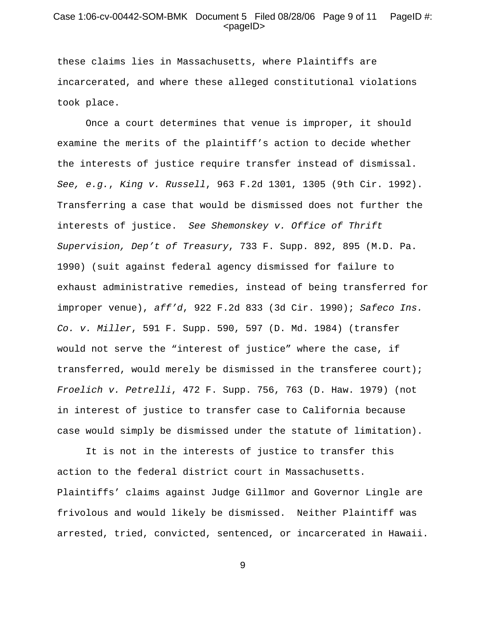### Case 1:06-cv-00442-SOM-BMK Document 5 Filed 08/28/06 Page 9 of 11 PageID #: <pageID>

these claims lies in Massachusetts, where Plaintiffs are incarcerated, and where these alleged constitutional violations took place.

 Once a court determines that venue is improper, it should examine the merits of the plaintiff's action to decide whether the interests of justice require transfer instead of dismissal. *See, e.g.*, *King v. Russell*, 963 F.2d 1301, 1305 (9th Cir. 1992). Transferring a case that would be dismissed does not further the interests of justice. *See Shemonskey v. Office of Thrift Supervision, Dep't of Treasury*, 733 F. Supp. 892, 895 (M.D. Pa. 1990) (suit against federal agency dismissed for failure to exhaust administrative remedies, instead of being transferred for improper venue), *aff'd*, 922 F.2d 833 (3d Cir. 1990); *Safeco Ins. Co. v. Miller*, 591 F. Supp. 590, 597 (D. Md. 1984) (transfer would not serve the "interest of justice" where the case, if transferred, would merely be dismissed in the transferee court); *Froelich v. Petrelli*, 472 F. Supp. 756, 763 (D. Haw. 1979) (not in interest of justice to transfer case to California because case would simply be dismissed under the statute of limitation).

It is not in the interests of justice to transfer this action to the federal district court in Massachusetts. Plaintiffs' claims against Judge Gillmor and Governor Lingle are frivolous and would likely be dismissed. Neither Plaintiff was arrested, tried, convicted, sentenced, or incarcerated in Hawaii.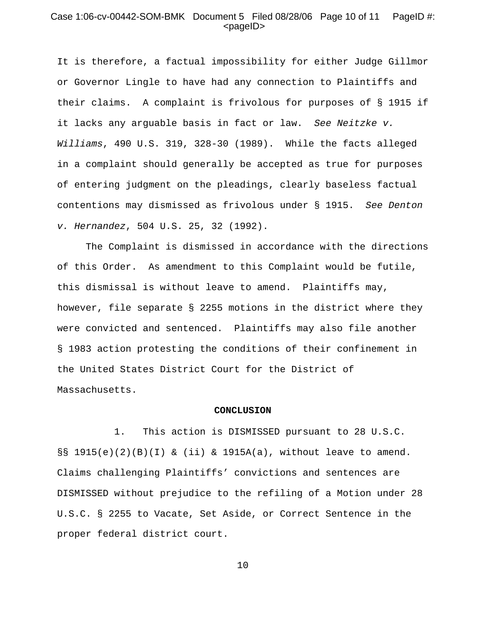### Case 1:06-cv-00442-SOM-BMK Document 5 Filed 08/28/06 Page 10 of 11 PageID #: <pageID>

It is therefore, a factual impossibility for either Judge Gillmor or Governor Lingle to have had any connection to Plaintiffs and their claims. A complaint is frivolous for purposes of § 1915 if it lacks any arguable basis in fact or law. *See Neitzke v. Williams*, 490 U.S. 319, 328-30 (1989). While the facts alleged in a complaint should generally be accepted as true for purposes of entering judgment on the pleadings, clearly baseless factual contentions may dismissed as frivolous under § 1915. *See Denton v. Hernandez*, 504 U.S. 25, 32 (1992).

The Complaint is dismissed in accordance with the directions of this Order. As amendment to this Complaint would be futile, this dismissal is without leave to amend. Plaintiffs may, however, file separate § 2255 motions in the district where they were convicted and sentenced. Plaintiffs may also file another § 1983 action protesting the conditions of their confinement in the United States District Court for the District of Massachusetts.

### **CONCLUSION**

1. This action is DISMISSED pursuant to 28 U.S.C.  $\S$ § 1915(e)(2)(B)(I) & (ii) & 1915A(a), without leave to amend. Claims challenging Plaintiffs' convictions and sentences are DISMISSED without prejudice to the refiling of a Motion under 28 U.S.C. § 2255 to Vacate, Set Aside, or Correct Sentence in the proper federal district court.